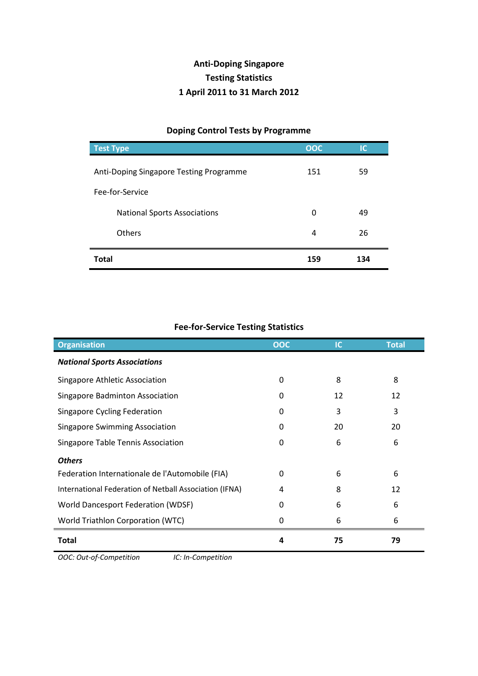## **Anti-Doping Singapore Testing Statistics 1 April 2011 to 31 March 2012**

## **Doping Control Tests by Programme Test Type OOC IC** Anti-Doping Singapore Testing Programme 151 59 Fee-for-Service National Sports Associations **0 19 and 19 and 19 and 19 and 19 and 19 and 19 and 19 and 19 and 19 and 19 and 19 and 19 and 19 and 19 and 19 and 19 and 19 and 19 and 19 and 19 and 19 and 19 and 19 and 19 and 19 and 19 and 1** Others 26 **Total 159 134**

## **Fee-for-Service Testing Statistics**

| <b>Organisation</b>                                    | OOC | <b>IC</b> | <b>Total</b> |
|--------------------------------------------------------|-----|-----------|--------------|
| <b>National Sports Associations</b>                    |     |           |              |
| Singapore Athletic Association                         | 0   | 8         | 8            |
| Singapore Badminton Association                        | 0   | 12        | 12           |
| Singapore Cycling Federation                           | 0   | 3         | 3            |
| <b>Singapore Swimming Association</b>                  | 0   | 20        | 20           |
| Singapore Table Tennis Association                     | 0   | 6         | 6            |
| <b>Others</b>                                          |     |           |              |
| Federation Internationale de l'Automobile (FIA)        | 0   | 6         | 6            |
| International Federation of Netball Association (IFNA) | 4   | 8         | 12           |
| <b>World Dancesport Federation (WDSF)</b>              | 0   | 6         | 6            |
| World Triathlon Corporation (WTC)                      | 0   | 6         | 6            |
| Total                                                  | 4   | 75        | 79           |

*OOC: Out-of-Competition IC: In-Competition*